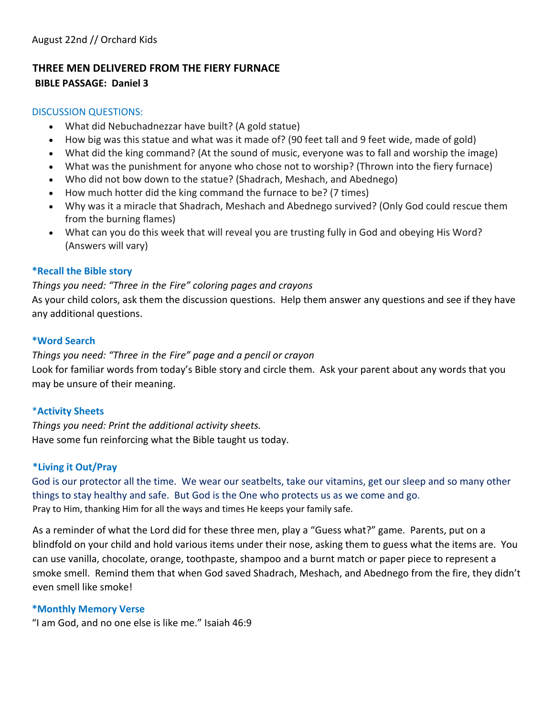#### **THREE MEN DELIVERED FROM THE FIERY FURNACE BIBLE PASSAGE: Daniel 3**

#### DISCUSSION QUESTIONS:

- What did Nebuchadnezzar have built? (A gold statue)
- How big was this statue and what was it made of? (90 feet tall and 9 feet wide, made of gold)
- What did the king command? (At the sound of music, everyone was to fall and worship the image)
- What was the punishment for anyone who chose not to worship? (Thrown into the fiery furnace)
- Who did not bow down to the statue? (Shadrach, Meshach, and Abednego)
- How much hotter did the king command the furnace to be? (7 times)
- Why was it a miracle that Shadrach, Meshach and Abednego survived? (Only God could rescue them from the burning flames)
- What can you do this week that will reveal you are trusting fully in God and obeying His Word? (Answers will vary)

#### $*$ **Recall the Bible story**

#### *Things you need: "Three in the Fire" coloring pages and crayons*

As your child colors, ask them the discussion questions. Help them answer any questions and see if they have any additional questions.

#### $*$ **Word Search**

*Things you need: "Three in the Fire" page and a pencil or crayon* 

Look for familiar words from today's Bible story and circle them. Ask your parent about any words that you may be unsure of their meaning.

#### \***Activity Sheets**

*Things you need: Print the additional activity sheets.*  Have some fun reinforcing what the Bible taught us today.

#### **\*Living it Out/Pray**

God is our protector all the time. We wear our seatbelts, take our vitamins, get our sleep and so many other things to stay healthy and safe. But God is the One who protects us as we come and go. Pray to Him, thanking Him for all the ways and times He keeps your family safe.

As a reminder of what the Lord did for these three men, play a "Guess what?" game. Parents, put on a blindfold on your child and hold various items under their nose, asking them to guess what the items are. You can use vanilla, chocolate, orange, toothpaste, shampoo and a burnt match or paper piece to represent a smoke smell. Remind them that when God saved Shadrach, Meshach, and Abednego from the fire, they didn't even smell like smoke!

#### **\*Monthly Memory Verse**

"I am God, and no one else is like me." Isaiah 46:9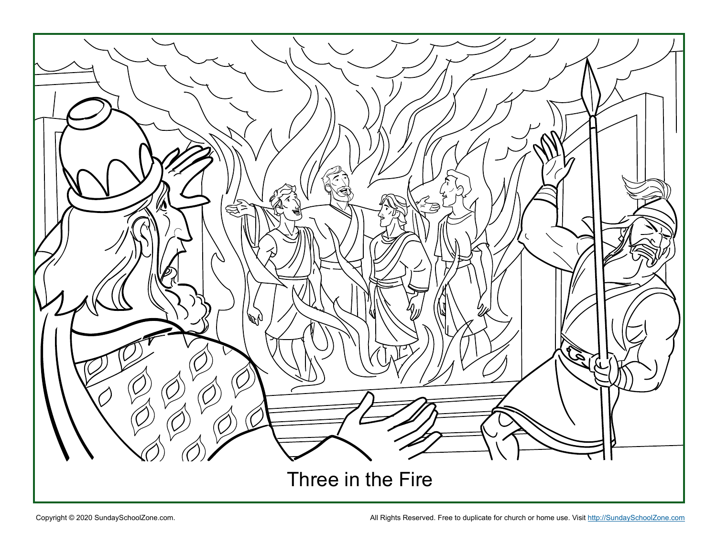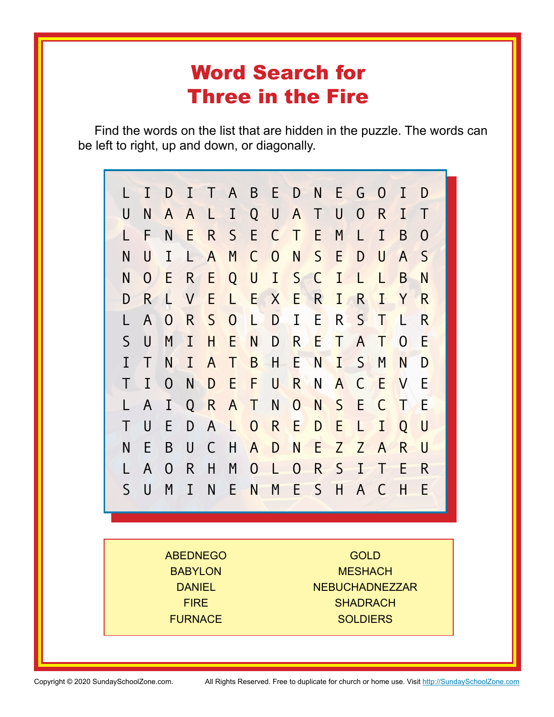## Word Search for Three in the Fire

Find the words on the list that are hidden in the puzzle. The words can be left to right, up and down, or diagonally.



ABEDNEGO **BABYLON DANIEL** FIRE FURNACE

**GOLD MESHACH** NEBUCHADNEZZAR **SHADRACH** SOLDIERS

Copyright © 2020 SundaySchoolZone.com. All Rights Reserved. Free to duplicate for church or home use. Visit [http://SundaySchoolZone.com](http://www.k12reader.com)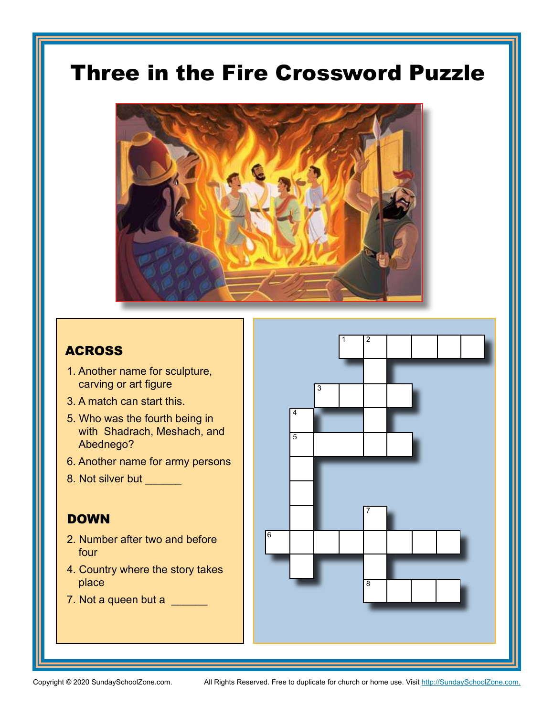# Three in the Fire Crossword Puzzle



### **ACROSS**

- 1. Another name for sculpture, carving or art figure
- 3. A match can start this.
- 5. Who was the fourth being in with Shadrach, Meshach, and Abednego?
- 6. Another name for army persons
- 8. Not silver but \_\_\_\_\_\_

### **DOWN**

- 2. Number after two and before four
- 4. Country where the story takes place
- 7. Not a queen but a \_\_\_\_\_\_